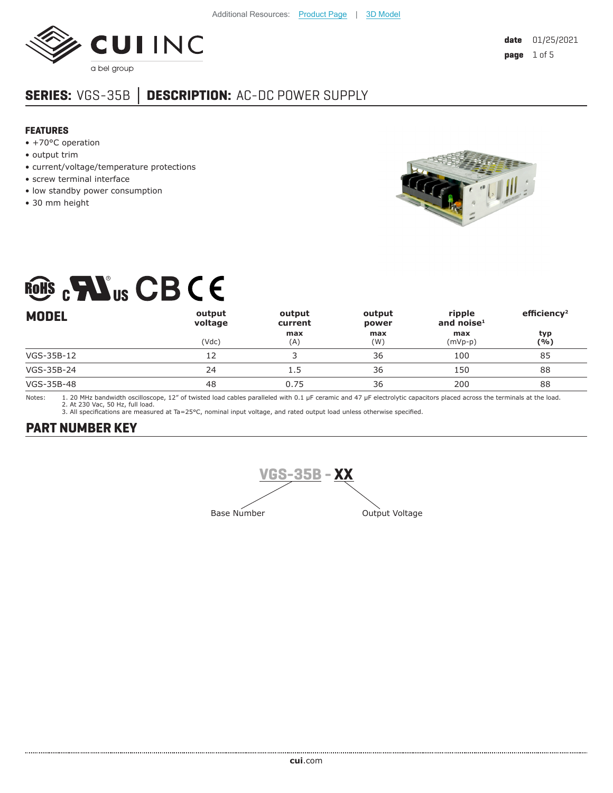

## **SERIES:** VGS-35B **│ DESCRIPTION:** AC-DC POWER SUPPLY

#### **FEATURES**

- +70°C operation
- output trim
- current/voltage/temperature protections
- screw terminal interface
- low standby power consumption
- 30 mm height



# RONS CBCE

| <b>MODEL</b> | output<br>voltage | output<br>current | output<br>power | ripple<br>and noise $1$ | efficiency <sup>2</sup> |
|--------------|-------------------|-------------------|-----------------|-------------------------|-------------------------|
|              | (Vdc)             | max<br>(A)        | max<br>(W)      | max<br>$(mVp-p)$        | typ<br>(%)              |
| VGS-35B-12   | 12                |                   | 36              | 100                     | 85                      |
| VGS-35B-24   | 24                | 1.5               | 36              | 150                     | 88                      |
| VGS-35B-48   | 48                | 0.75              | 36              | 200                     | 88                      |

Notes: 1. 20 MHz bandwidth oscilloscope, 12" of twisted load cables paralleled with 0.1 µF ceramic and 47 µF electrolytic capacitors placed across the terminals at the load. 2. At 230 Vac, 50 Hz, full load.

3. All specifications are measured at Ta=25°C, nominal input voltage, and rated output load unless otherwise specified.

## **PART NUMBER KEY**

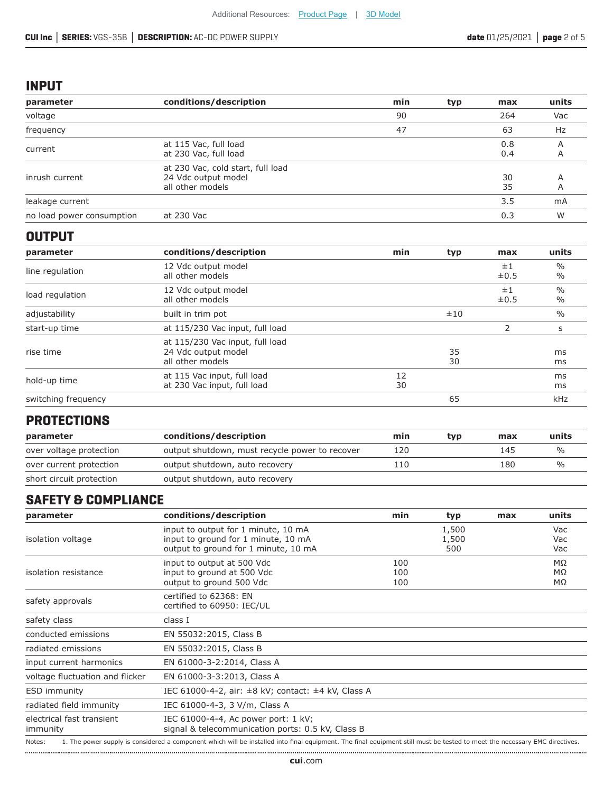#### **INPUT**

| parameter                 | conditions/description                                                       | min | typ | max        | units  |
|---------------------------|------------------------------------------------------------------------------|-----|-----|------------|--------|
| voltage                   |                                                                              | 90  |     | 264        | Vac    |
| frequency                 |                                                                              | 47  |     | 63         | Hz     |
| current                   | at 115 Vac, full load<br>at 230 Vac, full load                               |     |     | 0.8<br>0.4 | Α<br>A |
| inrush current            | at 230 Vac, cold start, full load<br>24 Vdc output model<br>all other models |     |     | 30<br>35   | A<br>A |
| leakage current           |                                                                              |     |     | 3.5        | mA     |
| no load power consumption | at 230 Vac                                                                   |     |     | 0.3        | W      |

#### **OUTPUT**

| parameter           | conditions/description                                                     | min      | typ      | max             | units                          |
|---------------------|----------------------------------------------------------------------------|----------|----------|-----------------|--------------------------------|
| line regulation     | 12 Vdc output model<br>all other models                                    |          |          | ±1<br>$\pm 0.5$ | $\frac{0}{0}$<br>$\frac{0}{0}$ |
| load regulation     | 12 Vdc output model<br>all other models                                    |          |          | ±1<br>$\pm 0.5$ | $\frac{0}{0}$<br>$\frac{0}{0}$ |
| adjustability       | built in trim pot                                                          |          | ±10      |                 | $\frac{0}{0}$                  |
| start-up time       | at 115/230 Vac input, full load                                            |          |          | 2               | S                              |
| rise time           | at 115/230 Vac input, full load<br>24 Vdc output model<br>all other models |          | 35<br>30 |                 | ms<br>ms                       |
| hold-up time        | at 115 Vac input, full load<br>at 230 Vac input, full load                 | 12<br>30 |          |                 | ms<br>ms                       |
| switching frequency |                                                                            |          | 65       |                 | <b>kHz</b>                     |

### **PROTECTIONS**

| parameter                | conditions/description                         | min | tvp | max | units         |
|--------------------------|------------------------------------------------|-----|-----|-----|---------------|
| over voltage protection  | output shutdown, must recycle power to recover | 120 |     | 145 | $\frac{0}{0}$ |
| over current protection  | output shutdown, auto recovery                 | 110 |     | 180 | $\frac{0}{0}$ |
| short circuit protection | output shutdown, auto recovery                 |     |     |     |               |

## **SAFETY & COMPLIANCE**

| parameter                                                                                                                                                                            | conditions/description                                                                                             | min               | typ                   | max | units                        |
|--------------------------------------------------------------------------------------------------------------------------------------------------------------------------------------|--------------------------------------------------------------------------------------------------------------------|-------------------|-----------------------|-----|------------------------------|
| isolation voltage                                                                                                                                                                    | input to output for 1 minute, 10 mA<br>input to ground for 1 minute, 10 mA<br>output to ground for 1 minute, 10 mA |                   | 1,500<br>1,500<br>500 |     | Vac<br>Vac<br>Vac            |
| isolation resistance                                                                                                                                                                 | input to output at 500 Vdc<br>input to ground at 500 Vdc<br>output to ground 500 Vdc                               | 100<br>100<br>100 |                       |     | $M\Omega$<br>$M\Omega$<br>MΩ |
| safety approvals                                                                                                                                                                     | certified to 62368: EN<br>certified to 60950: IEC/UL                                                               |                   |                       |     |                              |
| safety class                                                                                                                                                                         | class I                                                                                                            |                   |                       |     |                              |
| conducted emissions                                                                                                                                                                  | EN 55032:2015, Class B                                                                                             |                   |                       |     |                              |
| radiated emissions                                                                                                                                                                   | EN 55032:2015, Class B                                                                                             |                   |                       |     |                              |
| input current harmonics                                                                                                                                                              | EN 61000-3-2:2014, Class A                                                                                         |                   |                       |     |                              |
| voltage fluctuation and flicker                                                                                                                                                      | EN 61000-3-3:2013, Class A                                                                                         |                   |                       |     |                              |
| <b>ESD immunity</b>                                                                                                                                                                  | IEC 61000-4-2, air: ±8 kV; contact: ±4 kV, Class A                                                                 |                   |                       |     |                              |
| radiated field immunity                                                                                                                                                              | IEC 61000-4-3, 3 V/m, Class A                                                                                      |                   |                       |     |                              |
| electrical fast transient<br>immunity                                                                                                                                                | IEC 61000-4-4, Ac power port: 1 kV;<br>signal & telecommunication ports: 0.5 kV, Class B                           |                   |                       |     |                              |
| 1. The power supply is considered a component which will be installed into final equipment. The final equipment still must be tested to meet the necessary EMC directives.<br>Notes: |                                                                                                                    |                   |                       |     |                              |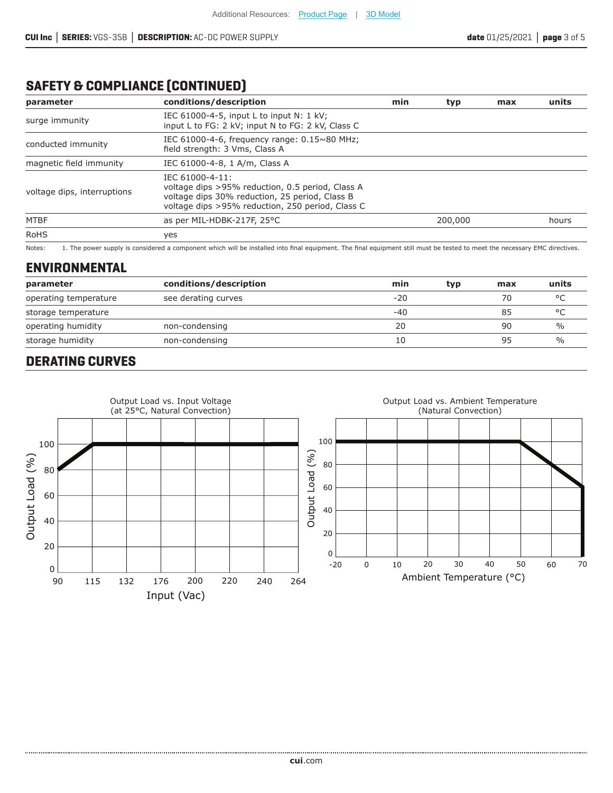## **SAFETY & COMPLIANCE (CONTINUED)**

| parameter                   | conditions/description                                                                                                                                                    | min | typ     | max | units |
|-----------------------------|---------------------------------------------------------------------------------------------------------------------------------------------------------------------------|-----|---------|-----|-------|
| surge immunity              | IEC $61000-4-5$ , input L to input N: 1 kV;<br>input L to FG: 2 kV; input N to FG: 2 kV, Class C                                                                          |     |         |     |       |
| conducted immunity          | IEC 61000-4-6, frequency range: 0.15~80 MHz;<br>field strength: 3 Vms, Class A                                                                                            |     |         |     |       |
| magnetic field immunity     | IEC 61000-4-8, 1 A/m, Class A                                                                                                                                             |     |         |     |       |
| voltage dips, interruptions | IEC 61000-4-11:<br>voltage dips >95% reduction, 0.5 period, Class A<br>voltage dips 30% reduction, 25 period, Class B<br>voltage dips >95% reduction, 250 period, Class C |     |         |     |       |
| <b>MTBF</b>                 | as per MIL-HDBK-217F, 25°C                                                                                                                                                |     | 200,000 |     | hours |
| <b>RoHS</b>                 | yes                                                                                                                                                                       |     |         |     |       |

Notes: 1. The power supply is considered a component which will be installed into final equipment. The final equipment still must be tested to meet the necessary EMC directives.

#### **ENVIRONMENTAL**

| parameter             | conditions/description | min   | typ | max | units         |
|-----------------------|------------------------|-------|-----|-----|---------------|
| operating temperature | see derating curves    | $-20$ |     | 70  | $\circ$       |
| storage temperature   |                        | -40   |     | 85  | $\circ$       |
| operating humidity    | non-condensing         | 20    |     | 90  | $\frac{0}{0}$ |
| storage humidity      | non-condensing         | 10    |     | 95  | $\%$          |

## **DERATING CURVES**

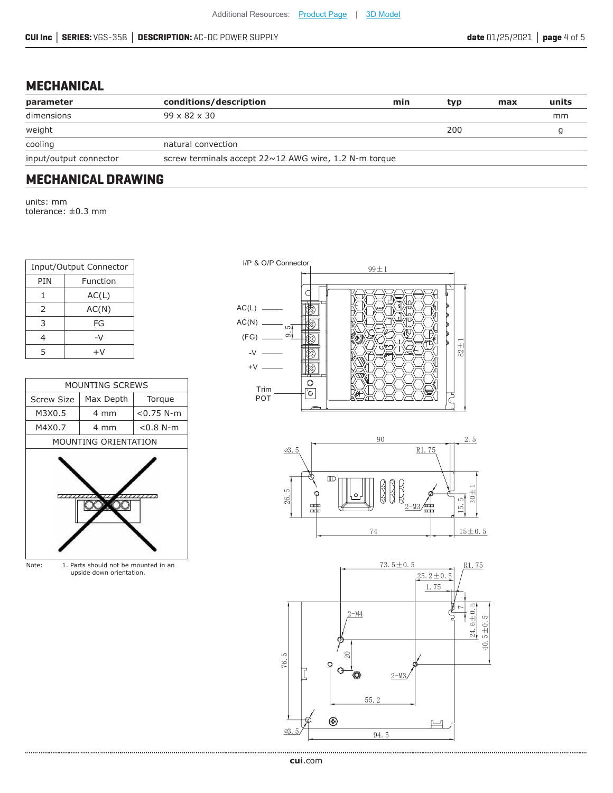### **MECHANICAL**

| conditions/description   | min | typ                                                          | max | units |
|--------------------------|-----|--------------------------------------------------------------|-----|-------|
| $99 \times 82 \times 30$ |     |                                                              |     | mm    |
|                          |     | 200                                                          |     |       |
| natural convection       |     |                                                              |     |       |
|                          |     |                                                              |     |       |
|                          |     | screw terminals accept $22 \sim 12$ AWG wire, 1.2 N-m torque |     |       |

## **MECHANICAL DRAWING**

units: mm tolerance: ±0.3 mm

| Input/Output Connector |       |  |  |  |
|------------------------|-------|--|--|--|
| PIN<br>Function        |       |  |  |  |
| 1                      | AC(L) |  |  |  |
| AC(N)<br>$\mathcal{P}$ |       |  |  |  |
| 3<br>FG                |       |  |  |  |
| 4                      | -V    |  |  |  |
| 5                      | +V    |  |  |  |

| <b>MOUNTING SCREWS</b> |                             |              |  |  |  |  |
|------------------------|-----------------------------|--------------|--|--|--|--|
| <b>Screw Size</b>      | Max Depth                   | Torque       |  |  |  |  |
| M3X0.5                 | 4 mm                        | $<$ 0.75 N-m |  |  |  |  |
| M4X0.7                 | 4 mm                        | $< 0.8 N-m$  |  |  |  |  |
|                        | <b>MOUNTING ORIENTATION</b> |              |  |  |  |  |
|                        | .                           |              |  |  |  |  |

Note: 1. Parts should not be mounted in an upside down orientation.